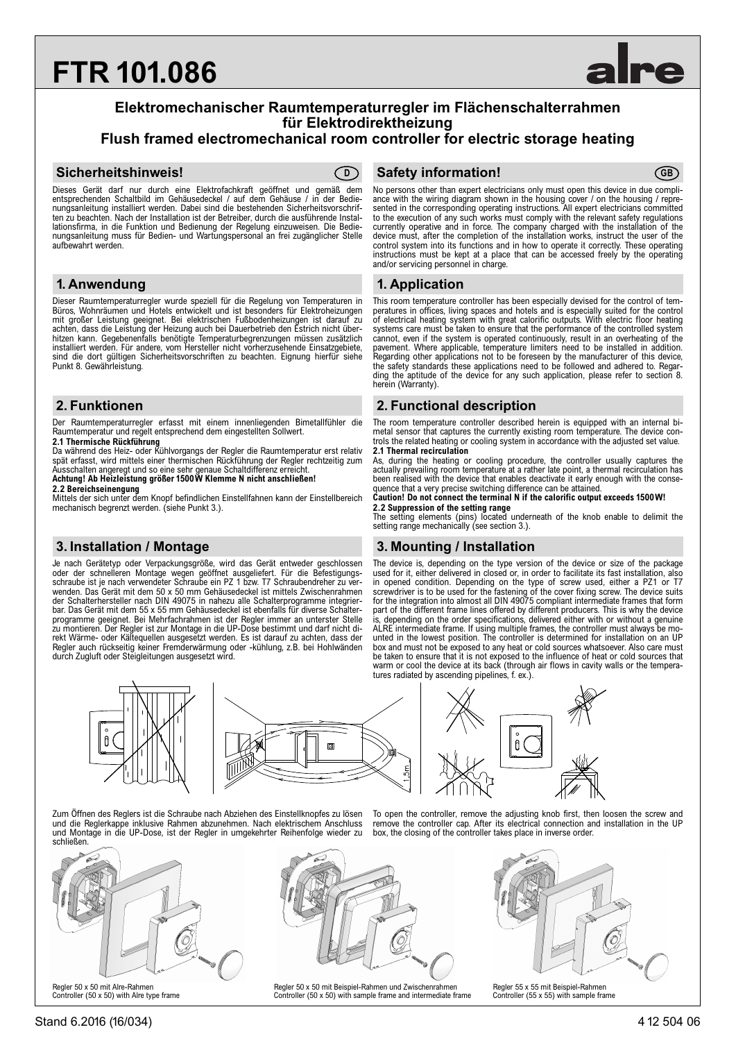# **FTR 101.086**

# **Elektromechanischer Raumtemperaturregler im Flächenschalterrahmen für Elektrodirektheizung**

# **Flush framed electromechanical room controller for electric storage heating**

### **Sicherheitshinweis! Safety information! D GB**



Dieses Gerät darf nur durch eine Elektrofachkraft geöffnet und gemäß dem entsprechenden Schaltbild im Gehäusedeckel / auf dem Gehäuse / in der Bedienungsanleitung installiert werden. Dabei sind die bestehenden Sicherheitsvorschriften zu beachten. Nach der Installation ist der Betreiber, durch die ausführende Installationsfirma, in die Funktion und Bedienung der Regelung einzuweisen. Die Bedie-nungsanleitung muss für Bedien- und Wartungspersonal an frei zugänglicher Stelle aufbewahrt werden.

# **1. Anwendung 1. Application**

Dieser Raumtemperaturregler wurde speziell für die Regelung von Temperaturen in Büros, Wohnräumen und Hotels entwickelt und ist besonders für Elektroheizungen mit großer Leistung geeignet. Bei elektrischen Fußbodenheizungen ist darauf zu achten, dass die Leistung der Heizung auch bei Dauerbetrieb den Estrich nicht über-<br>hitzen kann. Gegebenenfalls benötigte Temperaturbegrenzungen müssen zusätzlich<br>installiert werden. Für andere, vom Hersteller nicht vorher sind die dort gültigen Sicherheitsvorschriften zu beachten. Eignung hierfür siehe Punkt 8. Gewährleistung.

Der Raumtemperaturregler erfasst mit einem innenliegenden Bimetallfühler die Raumtemperatur und regelt entsprechend dem eingestellten Sollwert.

**2.1 Thermische Rückführung** Da während des Heiz- oder Kühlvorgangs der Regler die Raumtemperatur erst relativ spät erfasst, wird mittels einer thermischen Rückführung der Regler rechtzeitig zum Ausschalten angeregt und so eine sehr genaue Schaltdifferenz erreicht.

**Achtung! Ab Heizleistung größer 1500W Klemme N nicht anschließen!**

**2.2 Bereichseinengung**

 $\theta$ 

Mittels der sich unter dem Knopf befindlichen Einstellfahnen kann der Einstellbereich mechanisch begrenzt werden. (siehe Punkt 3.).

Je nach Gerätetyp oder Verpackungsgröße, wird das Gerät entweder geschlossen oder der schnelleren Montage wegen geöffnet ausgeliefert. Für die Befestigungsschraube ist je nach verwendeter Schraube ein PZ 1 bzw. T7 Schraubendreher zu verwenden. Das Gerät mit dem 50 x 50 mm Gehäusedeckel ist mittels Zwischenrahmen der Schalterhersteller nach DIN 49075 in nahezu alle Schalterprogramme integrierbar. Das Gerät mit dem 55 x 55 mm Gehäusedeckel ist ebenfalls für diverse Schalterprogramme geeignet. Bei Mehrfachrahmen ist der Regler immer an unterster Stelle zu montieren. Der Regler ist zur Montage in die UP-Dose bestimmt und darf nicht direkt Wärme- oder Kältequellen ausgesetzt werden. Es ist darauf zu achten, dass der Regler auch rückseitig keiner Fremderwärmung oder -kühlung, z.B. bei Hohlwänden durch Zugluft oder Steigleitungen ausgesetzt wird.

No persons other than expert electricians only must open this device in due compli-<br>ance with the wiring diagram shown in the housing cover / on the housing / repre-<br>sented in the corresponding operating instructions. All to the execution of any such works must comply with the relevant safety regulations<br>currently operative and in force. The company charged with the installation of the<br>device must, after the completion of the installation w control system into its functions and in how to operate it correctly. These operating instructions must be kept at a place that can be accessed freely by the operating and/or servicing personnel in charge.

This room temperature controller has been especially devised for the control of temperatures in offices, living spaces and hotels and is especially suited for the control of electrical heating system with great calorific outputs. With electric floor heating systems care must be taken to ensure that the performance of the controlled system cannot, even if the system is operated continuously, result in an overheating of the pavement. Where applicable, temperature limiters need to be installed in addition. Regarding other applications not to be foreseen by the manufacturer of this device, the safety standards these applications need to be followed and adhered to. Regarding the aptitude of the device for any such application, please refer to section 8. herein (Warranty).

# **2. Funktionen 2. Functional description**

The room temperature controller described herein is equipped with an internal bimetal sensor that captures the currently existing room temperature. The device con-trols the related heating or cooling system in accordance with the adjusted set value. **2.1 Thermal recirculation**

As, during the heating or cooling procedure, the controller usually captures the actually prevailing room temperature at a rather late point, a thermal recirculation has been realised with the device that enables deactivate it early enough with the conse-

quence that a very precise switching difference can be attained. **Caution! Do not connect the terminal N if the calorific output exceeds 1500W! 2.2 Suppression of the setting range**

The setting elements (pins) located underneath of the knob enable to delimit the setting range mechanically (see section 3.).

# **3. Installation / Montage 3. Mounting / Installation**

The device is, depending on the type version of the device or size of the package used for it, either delivered in closed or, in order to facilitate its fast installation, also in opened condition. Depending on the type of screw used, either a PZ1 or T7 screwdriver is to be used for the fastening of the cover fixing screw. The device suits for the integration into almost all DIN 49075 compliant intermediate frames that form part of the different frame lines offered by different producers. This is why the device is, depending on the order specifications, delivered either with or without a genuine<br>ALRE intermediate frame. If using multiple frames, the controller must always be mo-<br>unted in the lowest position. The controller is det box and must not be exposed to any heat or cold sources whatsoever. Also care must be taken to ensure that it is not exposed to the influence of heat or cold sources that warm or cool the device at its back (through air flows in cavity walls or the temperatures radiated by ascending pipelines, f. ex.).



Zum Öffnen des Reglers ist die Schraube nach Abziehen des Einstellknopfes zu lösen und die Reglerkappe inklusive Rahmen abzunehmen. Nach elektrischem Anschluss und Montage in die UP-Dose, ist der Regler in umgekehrter Reihenfolge wieder zu schließen.



Controller (50 x 50) with Alre type frame



Regler 50 x 50 mit Beispiel-Rahmen und Zwischenrahmen Controller (50 x 50) with sample frame and intermediate frame



To open the controller, remove the adjusting knob first, then loosen the screw and remove the controller cap. After its electrical connection and installation in the UP box, the closing of the controller takes place in inverse order.



Controller (55 x 55) with sample frame